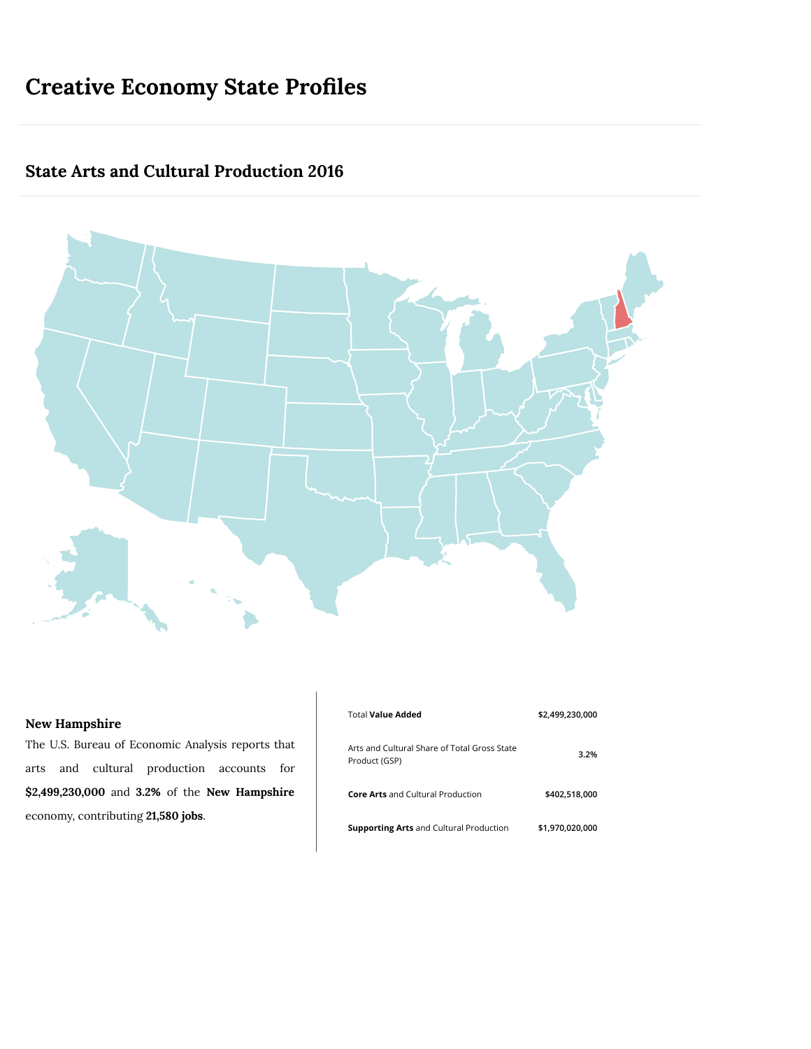# **Creative Economy State Profiles**

## **State Arts and Cultural Production 2016**



<span id="page-0-0"></span>

The U.S. Bureau of Economic Analysis reports that arts and cultural production accounts for **\$2,499,230,000** and **3.2%** of the **New Hampshire** economy, contributing **21,580 jobs**.

| Total <b>Value Added</b>                                      | \$2,499,230,000 |
|---------------------------------------------------------------|-----------------|
| Arts and Cultural Share of Total Gross State<br>Product (GSP) | 3.2%            |
| <b>Core Arts</b> and Cultural Production                      | \$402.518.000   |
| <b>Supporting Arts</b> and Cultural Production                | \$1.970.020.000 |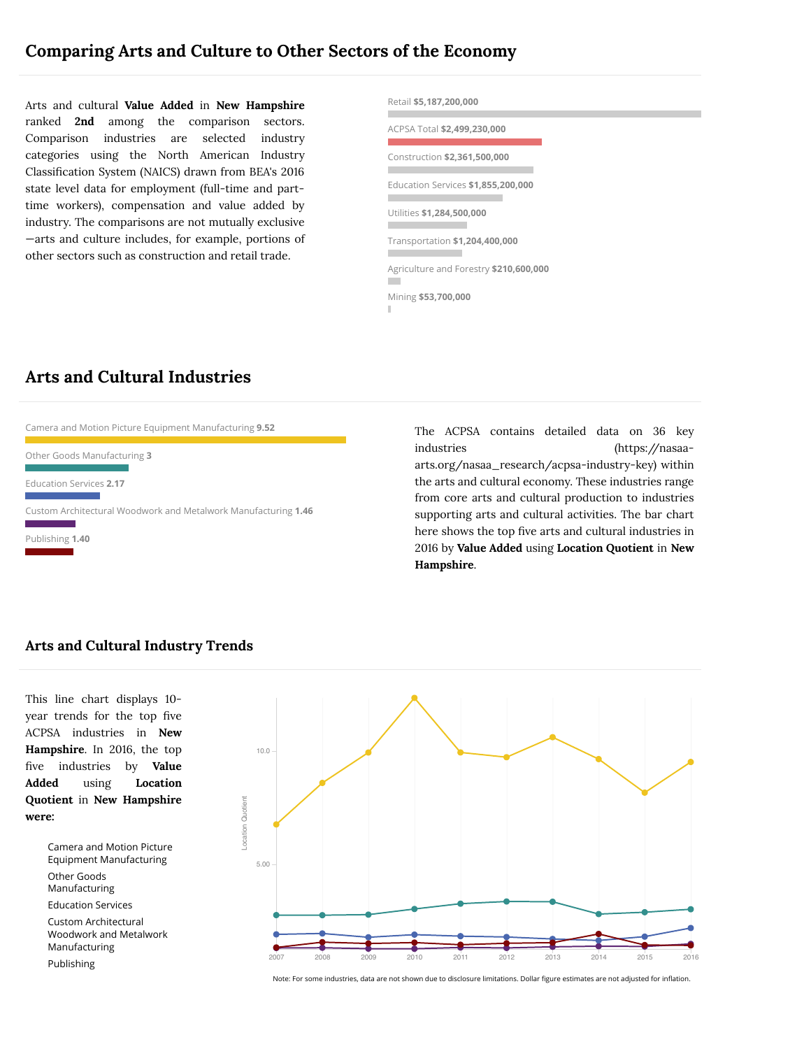Arts and cultural **Value Added** in **New Hampshire** ranked **2nd** among the comparison sectors. Comparison industries are selected [industry](#page-0-0) categories using the North American Industry Classification System (NAICS) drawn from BEA's 2016 state level data for employment (full-time and parttime workers), compensation and value added by industry. The comparisons are not mutually exclusive —arts and culture includes, for example, portions of other sectors such as construction and retail trade.



## **Arts and Cultural Industries**



The ACPSA contains detailed data on 36 key industries (https://nasaa[arts.org/nasaa\\_research/acpsa-industry-key\)](https://nasaa-arts.org/nasaa_research/acpsa-industry-key) within the arts and cultural economy. These industries range from core arts and cultural production to industries supporting arts and cultural activities. The bar chart here shows the top five arts and cultural industries in 2016 by **Value Added** using **Location Quotient** in **New Hampshire**.

#### **Arts and Cultural Industry Trends**

This line chart displays 10 year trends for the top five ACPSA industries in **New Hampshire**. In 2016, the top five industries by **Value Added** using **Location Quotient** in **New Hampshire were:**

> Camera and Motion Picture Equipment Manufacturing Other Goods Manufacturing Education Services

Custom Architectural Woodwork and Metalwork Manufacturing

Publishing



Note: For some industries, data are not shown due to disclosure limitations. Dollar figure estimates are not adjusted for inflation.